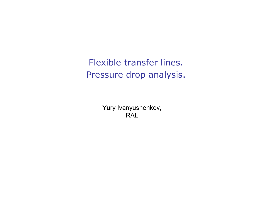Flexible transfer lines. Pressure drop analysis.

> Yury Ivanyushenkov, **RAL**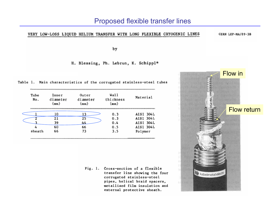## VERY LOW-LOSS LIQUID HELIUM TRANSFER WITH LONG FLEXIBLE CRYOGENIC LINES

CERN LEP-MA/89-38

by

H. Blessing, Ph. Lebrun, K. Schippl\*

| Table 1. Main characteristics of the corrugated stainless-steel tubes |  |
|-----------------------------------------------------------------------|--|
|-----------------------------------------------------------------------|--|

| Tube<br>No. | Inner<br>diameter<br>(mm) | Outer<br>diameter<br>(mm) | Wall<br>thickness<br>(mm) | Material         |
|-------------|---------------------------|---------------------------|---------------------------|------------------|
|             | 10                        | 43.                       | 0.3                       | AISI 304L        |
|             | 21                        | 25                        | 0.3                       | <b>AISI 304L</b> |
|             | 39                        | 44                        | 0.4                       | AISI 304L        |
| 4           | 60                        | 66                        | 0.5                       | <b>AISI 304L</b> |
| sheath      | 66                        | 73                        | 3.5                       | Polymer          |

Fig. 1. Cross-section of a flexible transfer line showing the four corrugated stainless-steel pipes, helical braid spacers, metallized film insulation and external protective sheath.

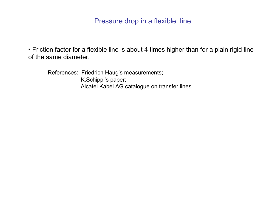• Friction factor for a flexible line is about 4 times higher than for a plain rigid line of the same diameter.

References: Friedrich Haug's measurements; K.Schippl's paper; Alcatel Kabel AG catalogue on transfer lines.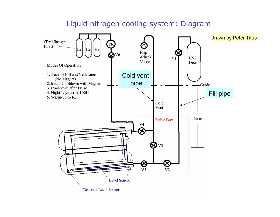## Liquid nitrogen cooling system: Diagram

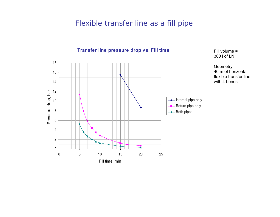## Flexible transfer line as a fill pipe



Fill volume = 300 l of LN

Geometry: 40 m of horizontal flexible transfer linewith 4 bends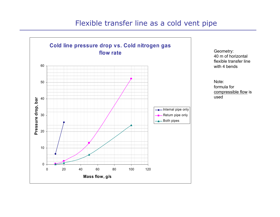## Flexible transfer line as a cold vent pipe